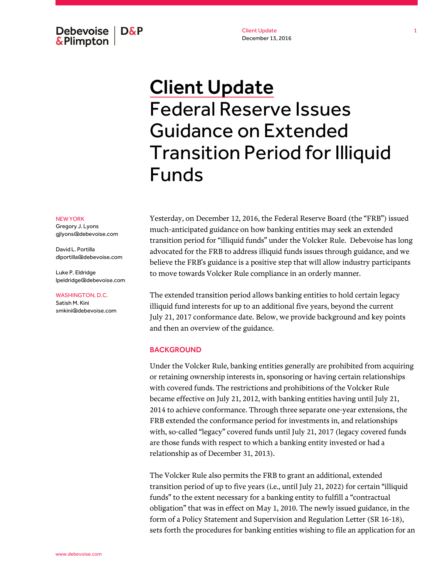Debevoise  $\overline{\phantom{a}}$  D&P **&Plimpton** 

Client Update December 13, 2016

# Client Update Federal Reserve Issues Guidance on Extended Transition Period for Illiquid Funds

#### NEW YORK

Gregory J. Lyons gjlyons@debevoise.com

David L. Portilla dlportilla@debevoise.com

Luke P. Eldridge lpeldridge@debevoise.com

WASHINGTON, D.C.

Satish M. Kini smkini@debevoise.com Yesterday, on December 12, 2016, the Federal Reserve Board (the "FRB") issued much-anticipated guidance on how banking entities may seek an extended transition period for "illiquid funds" under the Volcker Rule. Debevoise has long advocated for the FRB to address illiquid funds issues through guidance, and we believe the FRB's guidance is a positive step that will allow industry participants to move towards Volcker Rule compliance in an orderly manner.

The extended transition period allows banking entities to hold certain legacy illiquid fund interests for up to an additional five years, beyond the current July 21, 2017 conformance date. Below, we provide background and key points and then an overview of the guidance.

### **BACKGROUND**

Under the Volcker Rule, banking entities generally are prohibited from acquiring or retaining ownership interests in, sponsoring or having certain relationships with covered funds. The restrictions and prohibitions of the Volcker Rule became effective on July 21, 2012, with banking entities having until July 21, 2014 to achieve conformance. Through three separate one-year extensions, the FRB extended the conformance period for investments in, and relationships with, so-called "legacy" covered funds until July 21, 2017 (legacy covered funds are those funds with respect to which a banking entity invested or had a relationship as of December 31, 2013).

The Volcker Rule also permits the FRB to grant an additional, extended transition period of up to five years (i.e., until July 21, 2022) for certain "illiquid funds" to the extent necessary for a banking entity to fulfill a "contractual obligation" that was in effect on May 1, 2010. The newly issued guidance, in the form of a Policy Statement and Supervision and Regulation Letter (SR 16-18), sets forth the procedures for banking entities wishing to file an application for an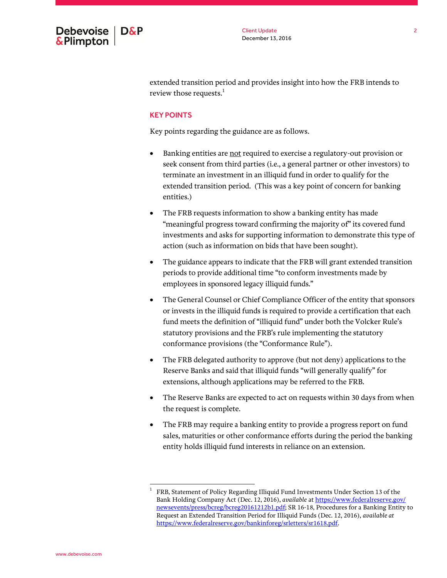

extended transition period and provides insight into how the FRB intends to review those requests.<sup>1</sup>

## KEY POINTS

Key points regarding the guidance are as follows.

- Banking entities are not required to exercise a regulatory-out provision or seek consent from third parties (i.e., a general partner or other investors) to terminate an investment in an illiquid fund in order to qualify for the extended transition period. (This was a key point of concern for banking entities.)
- The FRB requests information to show a banking entity has made "meaningful progress toward confirming the majority of" its covered fund investments and asks for supporting information to demonstrate this type of action (such as information on bids that have been sought).
- The guidance appears to indicate that the FRB will grant extended transition periods to provide additional time "to conform investments made by employees in sponsored legacy illiquid funds."
- The General Counsel or Chief Compliance Officer of the entity that sponsors or invests in the illiquid funds is required to provide a certification that each fund meets the definition of "illiquid fund" under both the Volcker Rule's statutory provisions and the FRB's rule implementing the statutory conformance provisions (the "Conformance Rule").
- The FRB delegated authority to approve (but not deny) applications to the Reserve Banks and said that illiquid funds "will generally qualify" for extensions, although applications may be referred to the FRB.
- The Reserve Banks are expected to act on requests within 30 days from when the request is complete.
- The FRB may require a banking entity to provide a progress report on fund sales, maturities or other conformance efforts during the period the banking entity holds illiquid fund interests in reliance on an extension.

 $\overline{a}$ 

<sup>1</sup> FRB, Statement of Policy Regarding Illiquid Fund Investments Under Section 13 of the Bank Holding Company Act (Dec. 12, 2016), *available* at [https://www.federalreserve.gov/](https://www.federalreserve.gov/newsevents/press/bcreg/bcreg20161212b1.pdf) [newsevents/press/bcreg/bcreg20161212b1.pdf;](https://www.federalreserve.gov/newsevents/press/bcreg/bcreg20161212b1.pdf) SR 16-18, Procedures for a Banking Entity to Request an Extended Transition Period for Illiquid Funds (Dec. 12, 2016), *available at* [https://www.federalreserve.gov/bankinforeg/srletters/sr1618.pdf.](https://www.federalreserve.gov/bankinforeg/srletters/sr1618.pdf)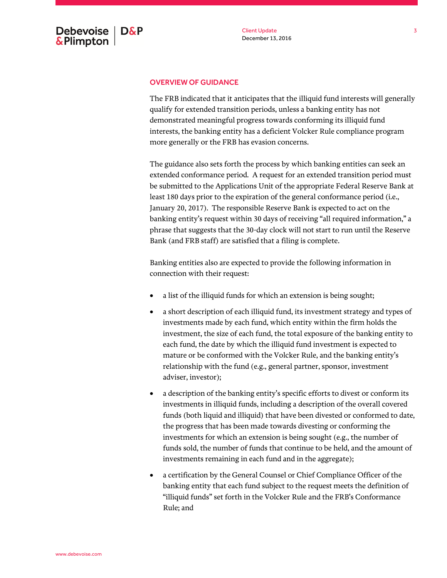# OVERVIEW OF GUIDANCE

The FRB indicated that it anticipates that the illiquid fund interests will generally qualify for extended transition periods, unless a banking entity has not demonstrated meaningful progress towards conforming its illiquid fund interests, the banking entity has a deficient Volcker Rule compliance program more generally or the FRB has evasion concerns.

The guidance also sets forth the process by which banking entities can seek an extended conformance period. A request for an extended transition period must be submitted to the Applications Unit of the appropriate Federal Reserve Bank at least 180 days prior to the expiration of the general conformance period (i.e., January 20, 2017). The responsible Reserve Bank is expected to act on the banking entity's request within 30 days of receiving "all required information," a phrase that suggests that the 30-day clock will not start to run until the Reserve Bank (and FRB staff) are satisfied that a filing is complete.

Banking entities also are expected to provide the following information in connection with their request:

- a list of the illiquid funds for which an extension is being sought;
- a short description of each illiquid fund, its investment strategy and types of investments made by each fund, which entity within the firm holds the investment, the size of each fund, the total exposure of the banking entity to each fund, the date by which the illiquid fund investment is expected to mature or be conformed with the Volcker Rule, and the banking entity's relationship with the fund (e.g., general partner, sponsor, investment adviser, investor);
- a description of the banking entity's specific efforts to divest or conform its investments in illiquid funds, including a description of the overall covered funds (both liquid and illiquid) that have been divested or conformed to date, the progress that has been made towards divesting or conforming the investments for which an extension is being sought (e.g., the number of funds sold, the number of funds that continue to be held, and the amount of investments remaining in each fund and in the aggregate);
- a certification by the General Counsel or Chief Compliance Officer of the banking entity that each fund subject to the request meets the definition of "illiquid funds" set forth in the Volcker Rule and the FRB's Conformance Rule; and